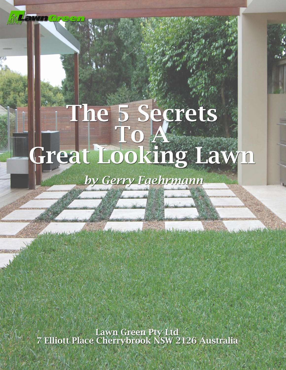# The 5 Secrets<br>To A To Anglia<br>Great Looking Lawn

# by Gerry Faehrmann

3 St Luck (ANU), Constant of the State Web William Ash (1)

Lawn Green Pty Ltd<br>7 Elliott Place Cherrybrook NSW 2126 Australia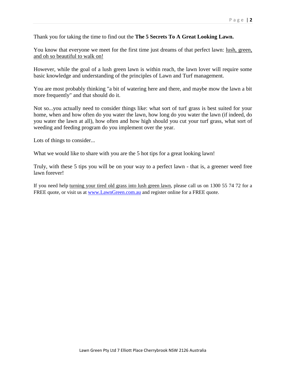Thank you for taking the time to find out the **The 5 Secrets To A Great Looking Lawn.**

You know that everyone we meet for the first time just dreams of that perfect lawn: lush, green, and oh so beautiful to walk on!

However, while the goal of a lush green lawn is within reach, the lawn lover will require some basic knowledge and understanding of the principles of Lawn and Turf management.

You are most probably thinking "a bit of watering here and there, and maybe mow the lawn a bit more frequently" and that should do it.

Not so...you actually need to consider things like: what sort of turf grass is best suited for your home, when and how often do you water the lawn, how long do you water the lawn (if indeed, do you water the lawn at all), how often and how high should you cut your turf grass, what sort of weeding and feeding program do you implement over the year.

Lots of things to consider...

What we would like to share with you are the 5 hot tips for a great looking lawn!

Truly, with these 5 tips you will be on your way to a perfect lawn - that is, a greener weed free lawn forever!

If you need help turning your tired old grass into lush green lawn, please call us on 1300 55 74 72 for a FREE quote, or visit us at [www.LawnGreen.com.au](http://www.lawngreen.com.au/) and register online for a FREE quote.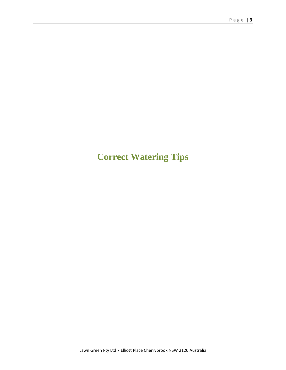# **Correct Watering Tips**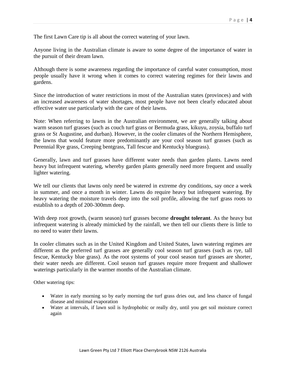The first Lawn Care tip is all about the correct watering of your lawn.

Anyone living in the Australian climate is aware to some degree of the importance of water in the pursuit of their dream lawn.

Although there is some awareness regarding the importance of careful water consumption, most people usually have it wrong when it comes to correct watering regimes for their lawns and gardens.

Since the introduction of water restrictions in most of the Australian states (provinces) and with an increased awareness of water shortages, most people have not been clearly educated about effective water use particularly with the care of their lawns.

Note: When referring to lawns in the Australian environment, we are generally talking about warm season turf grasses (such as couch turf grass or Bermuda grass, kikuyu, zoysia, buffalo turf grass or St Augustine, and durban). However, in the cooler climates of the Northern Hemisphere, the lawns that would feature more predominantly are your cool season turf grasses (such as Perennial Rye grass, Creeping bentgrass, Tall fescue and Kentucky bluegrass).

Generally, lawn and turf grasses have different water needs than garden plants. Lawns need heavy but infrequent watering, whereby garden plants generally need more frequent and usually lighter watering.

We tell our clients that lawns only need be watered in extreme dry conditions, say once a week in summer, and once a month in winter. Lawns do require heavy but infrequent watering. By heavy watering the moisture travels deep into the soil profile, allowing the turf grass roots to establish to a depth of 200-300mm deep.

With deep root growth, (warm season) turf grasses become **drought tolerant**. As the heavy but infrequent watering is already mimicked by the rainfall, we then tell our clients there is little to no need to water their lawns.

In cooler climates such as in the United Kingdom and United States, lawn watering regimes are different as the preferred turf grasses are generally cool season turf grasses (such as rye, tall fescue, Kentucky blue grass). As the root systems of your cool season turf grasses are shorter, their water needs are different. Cool season turf grasses require more frequent and shallower waterings particularly in the warmer months of the Australian climate.

Other watering tips:

- Water in early morning so by early morning the turf grass dries out, and less chance of fungal disease and minimal evaporation
- Water at intervals, if lawn soil is hydrophobic or really dry, until you get soil moisture correct again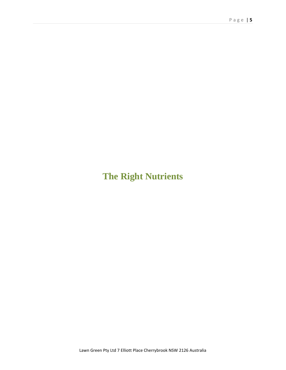# **The Right Nutrients**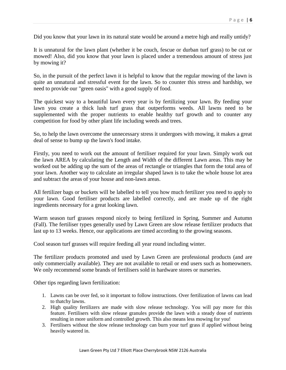Did you know that your lawn in its natural state would be around a metre high and really untidy?

It is unnatural for the lawn plant (whether it be couch, fescue or durban turf grass) to be cut or mowed! Also, did you know that your lawn is placed under a tremendous amount of stress just by mowing it?

So, in the pursuit of the perfect lawn it is helpful to know that the regular mowing of the lawn is quite an unnatural and stressful event for the lawn. So to counter this stress and hardship, we need to provide our "green oasis" with a good supply of food.

The quickest way to a beautiful lawn every year is by fertilizing your lawn. By feeding your lawn you create a thick lush turf grass that outperforms weeds. All lawns need to be supplemented with the proper nutrients to enable healthy turf growth and to counter any competition for food by other plant life including weeds and trees.

So, to help the lawn overcome the unnecessary stress it undergoes with mowing, it makes a great deal of sense to bump up the lawn's food intake.

Firstly, you need to work out the amount of fertiliser required for your lawn. Simply work out the lawn AREA by calculating the Length and Width of the different Lawn areas. This may be worked out be adding up the sum of the areas of rectangle or triangles that form the total area of your lawn. Another way to calculate an irregular shaped lawn is to take the whole house lot area and subtract the areas of your house and non-lawn areas.

All fertilizer bags or buckets will be labelled to tell you how much fertilizer you need to apply to your lawn. Good fertiliser products are labelled correctly, and are made up of the right ingredients necessary for a great looking lawn.

Warm season turf grasses respond nicely to being fertilized in Spring, Summer and Autumn (Fall). The fertiliser types generally used by Lawn Green are slow release fertilizer products that last up to 13 weeks. Hence, our applications are timed according to the growing seasons.

Cool season turf grasses will require feeding all year round including winter.

The fertilizer products promoted and used by Lawn Green are professional products (and are only commercially available). They are not available to retail or end users such as homeowners. We only recommend some brands of fertilisers sold in hardware stores or nurseries.

Other tips regarding lawn fertilization:

- 1. Lawns can be over fed, so it important to follow instructions. Over fertilization of lawns can lead to thatchy lawns.
- 2. High quality fertilizers are made with slow release technology. You will pay more for this feature. Fertilisers with slow release granules provide the lawn with a steady dose of nutrients resulting in more uniform and controlled growth. This also means less mowing for you!
- 3. Fertilisers without the slow release technology can burn your turf grass if applied without being heavily watered in.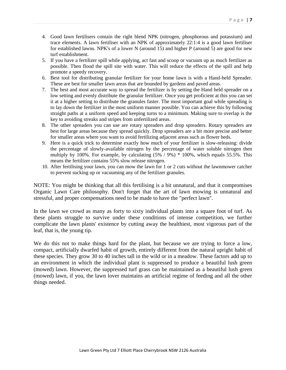- 4. Good lawn fertilisers contain the right blend NPK (nitrogen, phosphorous and potassium) and trace elements. A lawn fertiliser with an NPK of approximately 22:1:4 is a good lawn fertiliser for established lawns. NPK's of a lower N (around 15) and higher P (around 5) are good for new turf establishment.
- 5. If you have a fertilizer spill while applying, act fast and scoop or vacuum up as much fertilizer as possible. Then flood the spill site with water. This will reduce the effects of the spill and help promote a speedy recovery.
- 6. Best tool for distributing granular fertilizer for your home lawn is with a Hand-held Spreader. These are best for smaller lawn areas that are bounded by gardens and paved areas.
- 7. The best and most accurate way to spread the fertilizer is by setting the Hand held spreader on a low setting and evenly distribute the granular fertilizer. Once you get proficient at this you can set it at a higher setting to distribute the granules faster. The most important goal while spreading is to lay down the fertilizer in the most uniform manner possible. You can achieve this by following straight paths at a uniform speed and keeping turns to a minimum. Making sure to overlap is the key to avoiding streaks and stripes from unfertilized areas.
- 8. The other spreaders you can use are rotary spreaders and drop spreaders. Rotary spreaders are best for large areas because they spread quickly. Drop spreaders are a bit more precise and better for smaller areas where you want to avoid fertilizing adjacent areas such as flower beds.
- 9. Here is a quick trick to determine exactly how much of your fertilizer is slow-releasing: divide the percentage of slowly-available nitrogen by the percentage of water soluble nitrogen then multiply by 100%. For example, by calculating  $(5\% / 9\%) * 100\%$ , which equals 55.5%. This means the fertilizer contains 55% slow release nitrogen.
- 10. After fertilising your lawn, you can mow the lawn for 1 or 2 cuts without the lawnmower catcher to prevent sucking up or vacuuming any of the fertilizer granules.

NOTE: You might be thinking that all this fertilising is a bit unnatural, and that it compromises Organic Lawn Care philosophy. Don't forget that the art of lawn mowing is unnatural and stressful, and proper compensations need to be made to have the "perfect lawn".

In the lawn we crowd as many as forty to sixty individual plants into a square foot of turf. As these plants struggle to survive under these conditions of intense competition, we further complicate the lawn plants' existence by cutting away the healthiest, most vigorous part of the leaf, that is, the young tip.

We do this not to make things hard for the plant, but because we are trying to force a low, compact, artificially dwarfed habit of growth, entirely different from the natural upright habit of these species. They grow 30 to 40 inches tall in the wild or in a meadow. These factors add up to an environment in which the individual plant is suppressed to produce a beautiful lush green (mowed) lawn. However, the suppressed turf grass can be maintained as a beautiful lush green (mowed) lawn, if you, the lawn lover maintains an artificial regime of feeding and all the other things needed.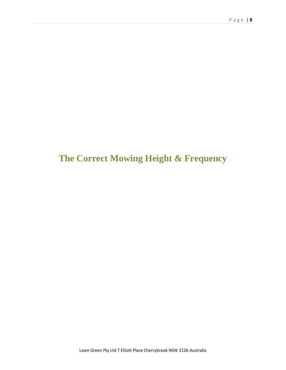### **The Correct Mowing Height & Frequency**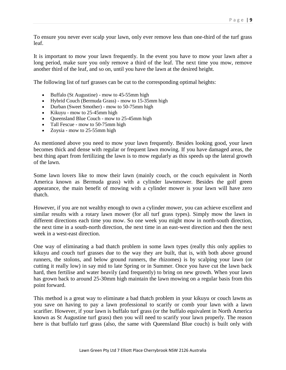To ensure you never ever scalp your lawn, only ever remove less than one-third of the turf grass leaf.

It is important to mow your lawn frequently. In the event you have to mow your lawn after a long period, make sure you only remove a third of the leaf. The next time you mow, remove another third of the leaf, and so on, until you have the lawn at the desired height.

The following list of turf grasses can be cut to the corresponding optimal heights:

- Buffalo (St Augustine) mow to 45-55mm high
- Hybrid Couch (Bermuda Grass) mow to 15-35mm high
- Durban (Sweet Smother) mow to 50-75mm high
- Kikuyu mow to  $25-45$ mm high
- Oueensland Blue Couch mow to  $25-45$ mm high
- Tall Fescue mow to 50-75mm high
- Zoysia mow to 25-55mm high

As mentioned above you need to mow your lawn frequently. Besides looking good, your lawn becomes thick and dense with regular or frequent lawn mowing. If you have damaged areas, the best thing apart from fertilizing the lawn is to mow regularly as this speeds up the lateral growth of the lawn.

Some lawn lovers like to mow their lawn (mainly couch, or the couch equivalent in North America known as Bermuda grass) with a cylinder lawnmower. Besides the golf green appearance, the main benefit of mowing with a cylinder mower is your lawn will have zero thatch.

However, if you are not wealthy enough to own a cylinder mower, you can achieve excellent and similar results with a rotary lawn mower (for all turf grass types). Simply mow the lawn in different directions each time you mow. So one week you might mow in north-south direction, the next time in a south-north direction, the next time in an east-west direction and then the next week in a west-east direction.

One way of eliminating a bad thatch problem in some lawn types (really this only applies to kikuyu and couch turf grasses due to the way they are built, that is, with both above ground runners, the stolons, and below ground runners, the rhizomes) is by scalping your lawn (or cutting it really low) in say mid to late Spring or in Summer. Once you have cut the lawn back hard, then fertilise and water heavily (and frequently) to bring on new growth. When your lawn has grown back to around 25-30mm high maintain the lawn mowing on a regular basis from this point forward.

This method is a great way to eliminate a bad thatch problem in your kikuyu or couch lawns as you save on having to pay a lawn professional to scarify or comb your lawn with a lawn scarifier. However, if your lawn is buffalo turf grass (or the buffalo equivalent in North America known as St Augustine turf grass) then you will need to scarify your lawn properly. The reason here is that buffalo turf grass (also, the same with Queensland Blue couch) is built only with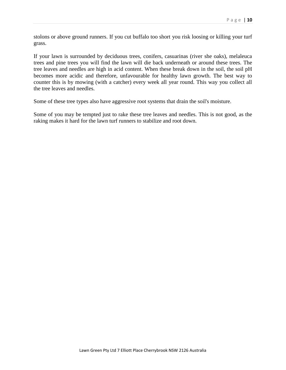stolons or above ground runners. If you cut buffalo too short you risk loosing or killing your turf grass.

If your lawn is surrounded by deciduous trees, conifers, casuarinas (river she oaks), melaleuca trees and pine trees you will find the lawn will die back underneath or around these trees. The tree leaves and needles are high in acid content. When these break down in the soil, the soil pH becomes more acidic and therefore, unfavourable for healthy lawn growth. The best way to counter this is by mowing (with a catcher) every week all year round. This way you collect all the tree leaves and needles.

Some of these tree types also have aggressive root systems that drain the soil's moisture.

Some of you may be tempted just to rake these tree leaves and needles. This is not good, as the raking makes it hard for the lawn turf runners to stabilize and root down.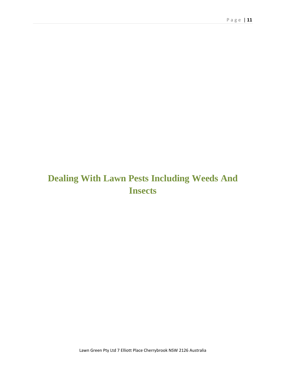# **Dealing With Lawn Pests Including Weeds And Insects**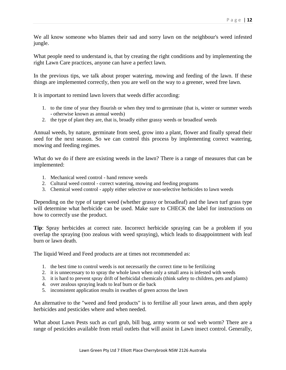We all know someone who blames their sad and sorry lawn on the neighbour's weed infested jungle.

What people need to understand is, that by creating the right conditions and by implementing the right Lawn Care practices, anyone can have a perfect lawn.

In the previous tips, we talk about proper watering, mowing and feeding of the lawn. If these things are implemented correctly, then you are well on the way to a greener, weed free lawn.

It is important to remind lawn lovers that weeds differ according:

- 1. to the time of year they flourish or when they tend to germinate (that is, winter or summer weeds - otherwise known as annual weeds)
- 2. the type of plant they are, that is, broadly either grassy weeds or broadleaf weeds

Annual weeds, by nature, germinate from seed, grow into a plant, flower and finally spread their seed for the next season. So we can control this process by implementing correct watering, mowing and feeding regimes.

What do we do if there are existing weeds in the lawn? There is a range of measures that can be implemented:

- 1. Mechanical weed control hand remove weeds
- 2. Cultural weed control correct watering, mowing and feeding programs
- 3. Chemical weed control apply either selective or non-selective herbicides to lawn weeds

Depending on the type of target weed (whether grassy or broadleaf) and the lawn turf grass type will determine what herbicide can be used. Make sure to CHECK the label for instructions on how to correctly use the product.

**Tip**: Spray herbicides at correct rate. Incorrect herbicide spraying can be a problem if you overlap the spraying (too zealous with weed spraying), which leads to disappointment with leaf burn or lawn death.

The liquid Weed and Feed products are at times not recommended as:

- 1. the best time to control weeds is not necessarily the correct time to be fertilizing
- 2. it is unnecessary to to spray the whole lawn when only a small area is infested with weeds
- 3. it is hard to prevent spray drift of herbicidal chemicals (think safety to children, pets and plants)
- 4. over zealous spraying leads to leaf burn or die back
- 5. inconsistent application results in swathes of green across the lawn

An alternative to the "weed and feed products" is to fertilise all your lawn areas, and then apply herbicides and pesticides where and when needed.

What about Lawn Pests such as curl grub, bill bug, army worm or sod web worm? There are a range of pesticides available from retail outlets that will assist in Lawn insect control. Generally,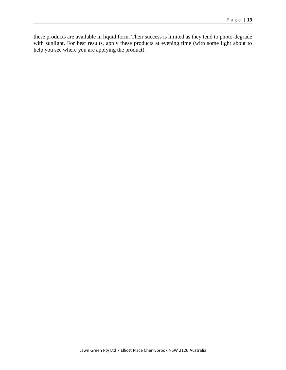these products are available in liquid form. Their success is limited as they tend to photo-degrade with sunlight. For best results, apply these products at evening time (with some light about to help you see where you are applying the product).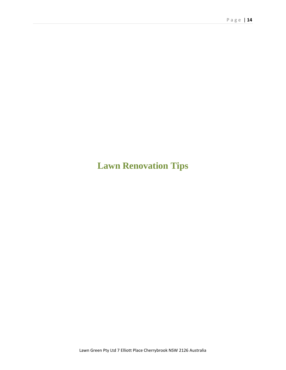# **Lawn Renovation Tips**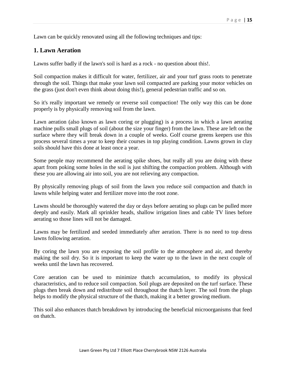Lawn can be quickly renovated using all the following techniques and tips:

### **1. Lawn Aeration**

Lawns suffer badly if the lawn's soil is hard as a rock - no question about this!.

Soil compaction makes it difficult for water, fertilizer, air and your turf grass roots to penetrate through the soil. Things that make your lawn soil compacted are parking your motor vehicles on the grass (just don't even think about doing this!), general pedestrian traffic and so on.

So it's really important we remedy or reverse soil compaction! The only way this can be done properly is by physically removing soil from the lawn.

Lawn aeration (also known as lawn coring or plugging) is a process in which a lawn aerating machine pulls small plugs of soil (about the size your finger) from the lawn. These are left on the surface where they will break down in a couple of weeks. Golf course greens keepers use this process several times a year to keep their courses in top playing condition. Lawns grown in clay soils should have this done at least once a year.

Some people may recommend the aerating spike shoes, but really all you are doing with these apart from poking some holes in the soil is just shifting the compaction problem. Although with these you are allowing air into soil, you are not relieving any compaction.

By physically removing plugs of soil from the lawn you reduce soil compaction and thatch in lawns while helping water and fertilizer move into the root zone.

Lawns should be thoroughly watered the day or days before aerating so plugs can be pulled more deeply and easily. Mark all sprinkler heads, shallow irrigation lines and cable TV lines before aerating so those lines will not be damaged.

Lawns may be fertilized and seeded immediately after aeration. There is no need to top dress lawns following aeration.

By coring the lawn you are exposing the soil profile to the atmosphere and air, and thereby making the soil dry. So it is important to keep the water up to the lawn in the next couple of weeks until the lawn has recovered.

Core aeration can be used to minimize thatch accumulation, to modify its physical characteristics, and to reduce soil compaction. Soil plugs are deposited on the turf surface. These plugs then break down and redistribute soil throughout the thatch layer. The soil from the plugs helps to modify the physical structure of the thatch, making it a better growing medium.

This soil also enhances thatch breakdown by introducing the beneficial microorganisms that feed on thatch.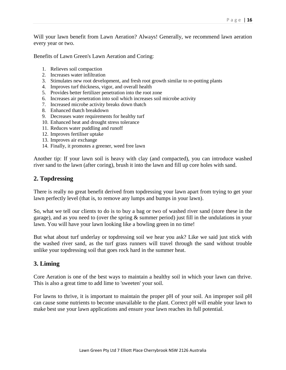Will your lawn benefit from Lawn Aeration? Always! Generally, we recommend lawn aeration every year or two.

Benefits of Lawn Green's Lawn Aeration and Coring:

- 1. Relieves soil compaction
- 2. Increases water infiltration
- 3. Stimulates new root development, and fresh root growth similar to re-potting plants
- 4. Improves turf thickness, vigor, and overall health
- 5. Provides better fertilizer penetration into the root zone
- 6. Increases air penetration into soil which increases soil microbe activity
- 7. Increased microbe activity breaks down thatch
- 8. Enhanced thatch breakdown
- 9. Decreases water requirements for healthy turf
- 10. Enhanced heat and drought stress tolerance
- 11. Reduces water puddling and runoff
- 12. Improves fertiliser uptake
- 13. Improves air exchange
- 14. Finally, it promotes a greener, weed free lawn

Another tip: If your lawn soil is heavy with clay (and compacted), you can introduce washed river sand to the lawn (after coring), brush it into the lawn and fill up core holes with sand.

### **2. Topdressing**

There is really no great benefit derived from topdressing your lawn apart from trying to get your lawn perfectly level (that is, to remove any lumps and bumps in your lawn).

So, what we tell our clients to do is to buy a bag or two of washed river sand (store these in the garage), and as you need to (over the spring & summer period) just fill in the undulations in your lawn. You will have your lawn looking like a bowling green in no time!

But what about turf underlay or topdressing soil we hear you ask? Like we said just stick with the washed river sand, as the turf grass runners will travel through the sand without trouble unlike your topdressing soil that goes rock hard in the summer heat.

### **3. Liming**

Core Aeration is one of the best ways to maintain a healthy soil in which your lawn can thrive. This is also a great time to add lime to 'sweeten' your soil.

For lawns to thrive, it is important to maintain the proper pH of your soil. An improper soil pH can cause some nutrients to become unavailable to the plant. Correct pH will enable your lawn to make best use your lawn applications and ensure your lawn reaches its full potential.